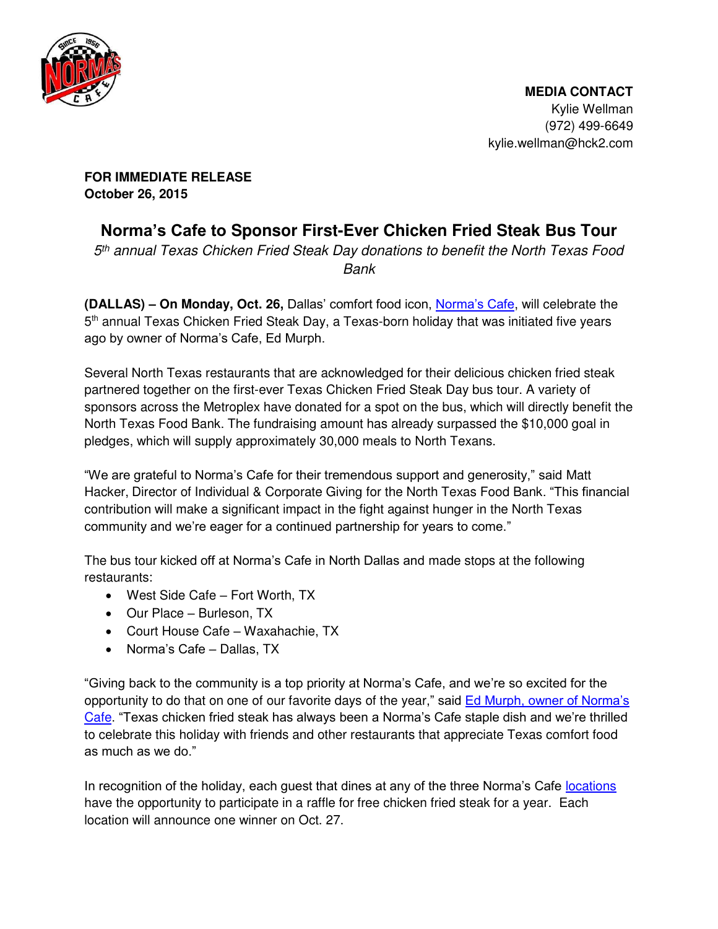

**FOR IMMEDIATE RELEASE October 26, 2015** 

## **Norma's Cafe to Sponsor First-Ever Chicken Fried Steak Bus Tour**

*5 th annual Texas Chicken Fried Steak Day donations to benefit the North Texas Food Bank* 

**(DALLAS) – On Monday, Oct. 26,** Dallas' comfort food icon, [Norma's Cafe](http://normascafe.com/), will celebrate the 5<sup>th</sup> annual Texas Chicken Fried Steak Day, a Texas-born holiday that was initiated five years ago by owner of Norma's Cafe, Ed Murph.

Several North Texas restaurants that are acknowledged for their delicious chicken fried steak partnered together on the first-ever Texas Chicken Fried Steak Day bus tour. A variety of sponsors across the Metroplex have donated for a spot on the bus, which will directly benefit the North Texas Food Bank. The fundraising amount has already surpassed the \$10,000 goal in pledges, which will supply approximately 30,000 meals to North Texans.

"We are grateful to Norma's Cafe for their tremendous support and generosity," said Matt Hacker, Director of Individual & Corporate Giving for the North Texas Food Bank. "This financial contribution will make a significant impact in the fight against hunger in the North Texas community and we're eager for a continued partnership for years to come."

The bus tour kicked off at Norma's Cafe in North Dallas and made stops at the following restaurants:

- West Side Cafe Fort Worth, TX
- Our Place Burleson, TX
- Court House Cafe Waxahachie, TX
- Norma's Cafe Dallas, TX

"Giving back to the community is a top priority at Norma's Cafe, and we're so excited for the opportunity to do that on one of our favorite days of the year," said Ed Murph, owner of Norma's [Cafe](http://www.normascafe.com/about/). "Texas chicken fried steak has always been a Norma's Cafe staple dish and we're thrilled to celebrate this holiday with friends and other restaurants that appreciate Texas comfort food as much as we do."

In recognition of the holiday, each guest that dines at any of the three Norma's Cafe [locations](http://www.normascafe.com/locations) have the opportunity to participate in a raffle for free chicken fried steak for a year. Each location will announce one winner on Oct. 27.